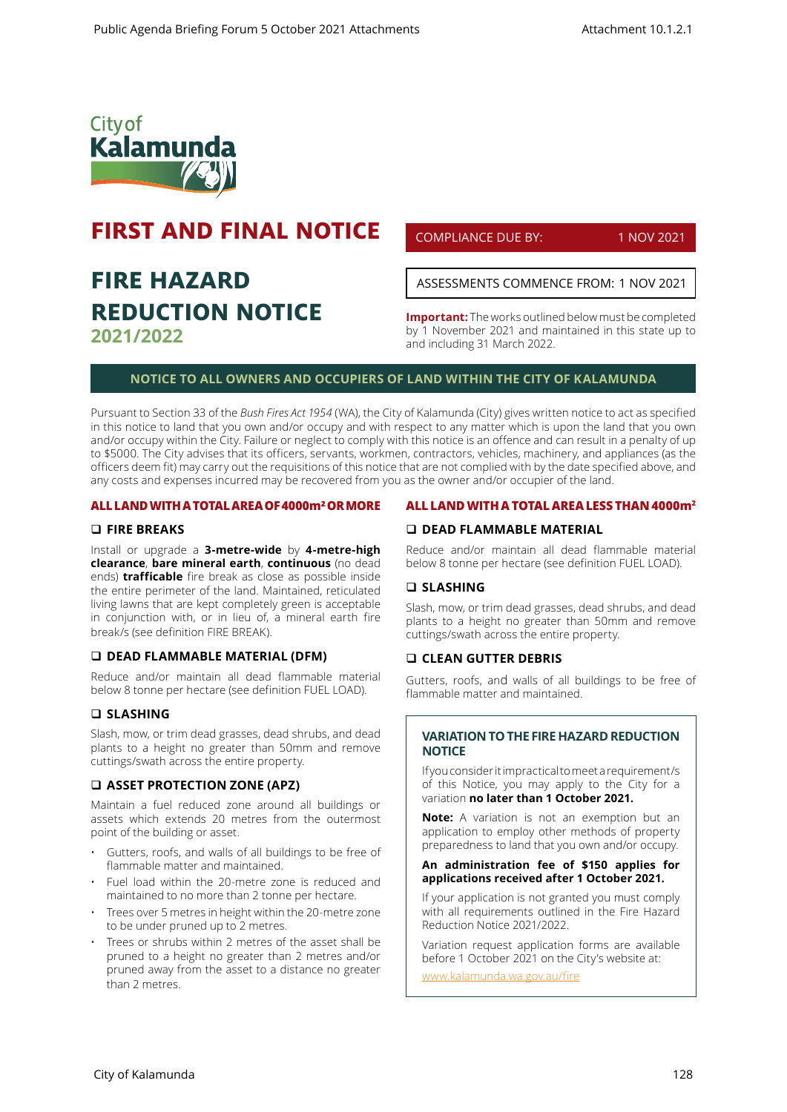

# **FIRST AND FINAL NOTICE**

# **FIRE HAZARD REDUCTION NOTICE 2021/2022**

COMPLIANCE DUE BY: 1 NOV 2021

ASSESSMENTS COMMENCE FROM: 1 NOV 2021

**Important:** The works outlined below must be completed by 1 November 2021 and maintained in this state up to and including 31 March 2022.

## **NOTICE TO ALL OWNERS AND OCCUPIERS OF LAND WITHIN THE CITY OF KALAMUNDA**

Pursuant to Section 33 of the *Bush Fires Act 1954* (WA), the City of Kalamunda (City) gives written notice to act as specified in this notice to land that you own and/or occupy and with respect to any matter which is upon the land that you own and/or occupy within the City. Failure or neglect to comply with this notice is an offence and can result in a penalty of up to \$5000. The City advises that its officers, servants, workmen, contractors, vehicles, machinery, and appliances (as the officers deem fit) may carry out the requisitions of this notice that are not complied with by the date specified above, and any costs and expenses incurred may be recovered from you as the owner and/or occupier of the land.

#### **ALL LAND WITH A TOTAL AREA OF 4000m² OR MORE**

### **FIRE BREAKS**

Install or upgrade a **3-metre-wide** by **4-metre-high clearance**, **bare mineral earth**, **continuous** (no dead ends) **trafficable** fire break as close as possible inside the entire perimeter of the land. Maintained, reticulated living lawns that are kept completely green is acceptable in conjunction with, or in lieu of, a mineral earth fire break/s (see definition FIRE BREAK).

#### **DEAD FLAMMABLE MATERIAL (DFM)**

Reduce and/or maintain all dead flammable material below 8 tonne per hectare (see definition FUEL LOAD).

## **SLASHING**

Slash, mow, or trim dead grasses, dead shrubs, and dead plants to a height no greater than 50mm and remove cuttings/swath across the entire property.

#### **ASSET PROTECTION ZONE (APZ)**

Maintain a fuel reduced zone around all buildings or assets which extends 20 metres from the outermost point of the building or asset.

- Gutters, roofs, and walls of all buildings to be free of flammable matter and maintained.
- Fuel load within the 20-metre zone is reduced and maintained to no more than 2 tonne per hectare.
- Trees over 5 metres in height within the 20-metre zone to be under pruned up to 2 metres.
- Trees or shrubs within 2 metres of the asset shall be pruned to a height no greater than 2 metres and/or pruned away from the asset to a distance no greater than 2 metres.

### **ALL LAND WITH A TOTAL AREA LESS THAN 4000m2**

## **DEAD FLAMMABLE MATERIAL**

Reduce and/or maintain all dead flammable material below 8 tonne per hectare (see definition FUEL LOAD).

#### **SLASHING**

Slash, mow, or trim dead grasses, dead shrubs, and dead plants to a height no greater than 50mm and remove cuttings/swath across the entire property.

#### **CLEAN GUTTER DEBRIS**

Gutters, roofs, and walls of all buildings to be free of flammable matter and maintained.

## **VARIATION TO THE FIRE HAZARD REDUCTION NOTICE**

If you consider it impractical to meet a requirement/s of this Notice, you may apply to the City for a variation **no later than 1 October 2021.** 

**Note:** A variation is not an exemption but an application to employ other methods of property preparedness to land that you own and/or occupy.

#### **An administration fee of \$150 applies for applications received after 1 October 2021.**

If your application is not granted you must comply with all requirements outlined in the Fire Hazard Reduction Notice 2021/2022.

Variation request application forms are available before 1 October 2021 on the City's website at:

www.kalamunda.wa.gov.au/fire